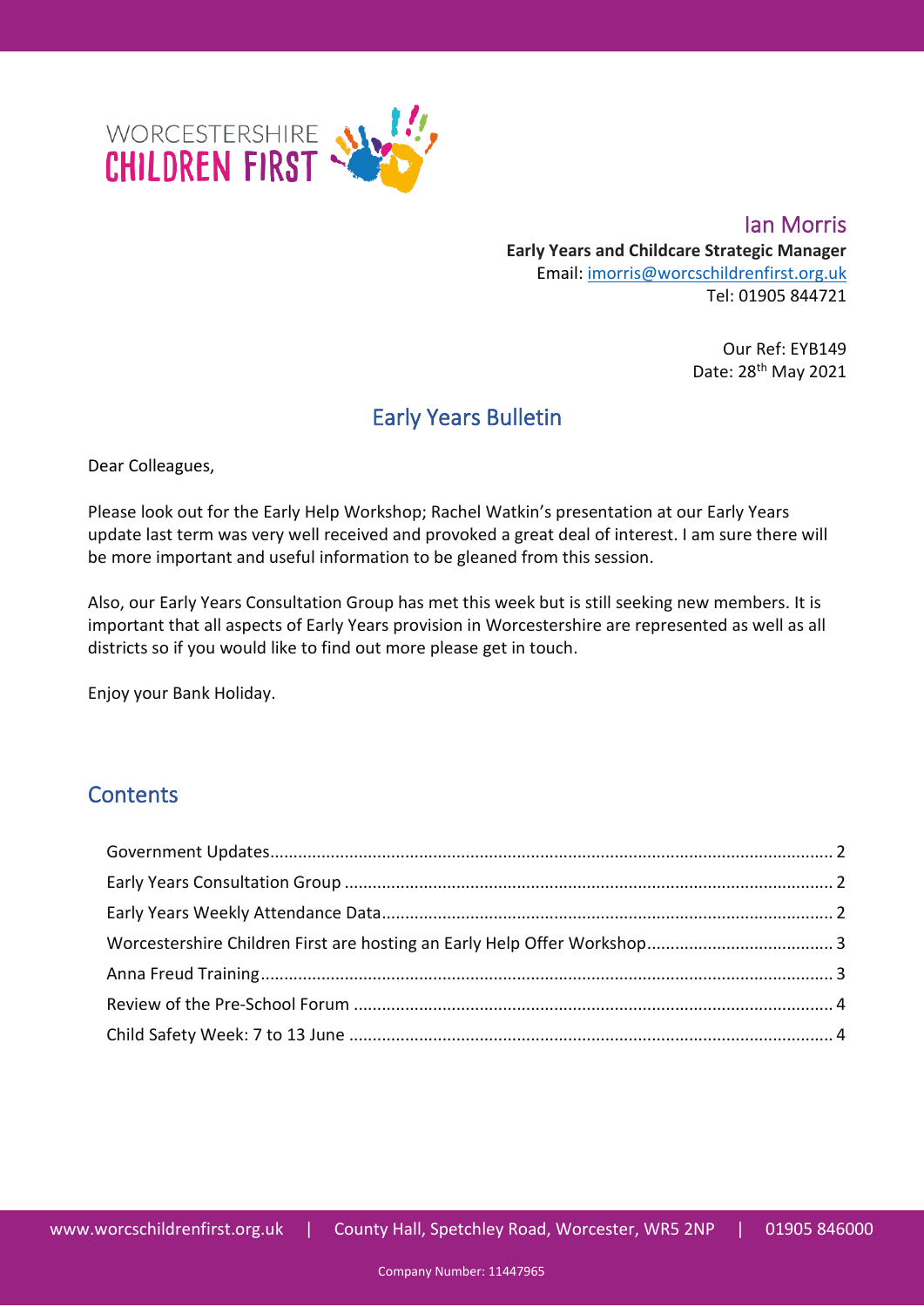

**Ian Morris Early Years and Childcare Strategic Manager** Email: [imorris@worcschildrenfirst.org.uk](mailto:imorris@worcschildrenfirst.org.uk) Tel: 01905 844721

> Our Ref: EYB149 Date: 28th May 2021

# Early Years Bulletin

Dear Colleagues,

Please look out for the Early Help Workshop; Rachel Watkin's presentation at our Early Years update last term was very well received and provoked a great deal of interest. I am sure there will be more important and useful information to be gleaned from this session.

Also, our Early Years Consultation Group has met this week but is still seeking new members. It is important that all aspects of Early Years provision in Worcestershire are represented as well as all districts so if you would like to find out more please get in touch.

Enjoy your Bank Holiday.

### **Contents**

<span id="page-0-0"></span>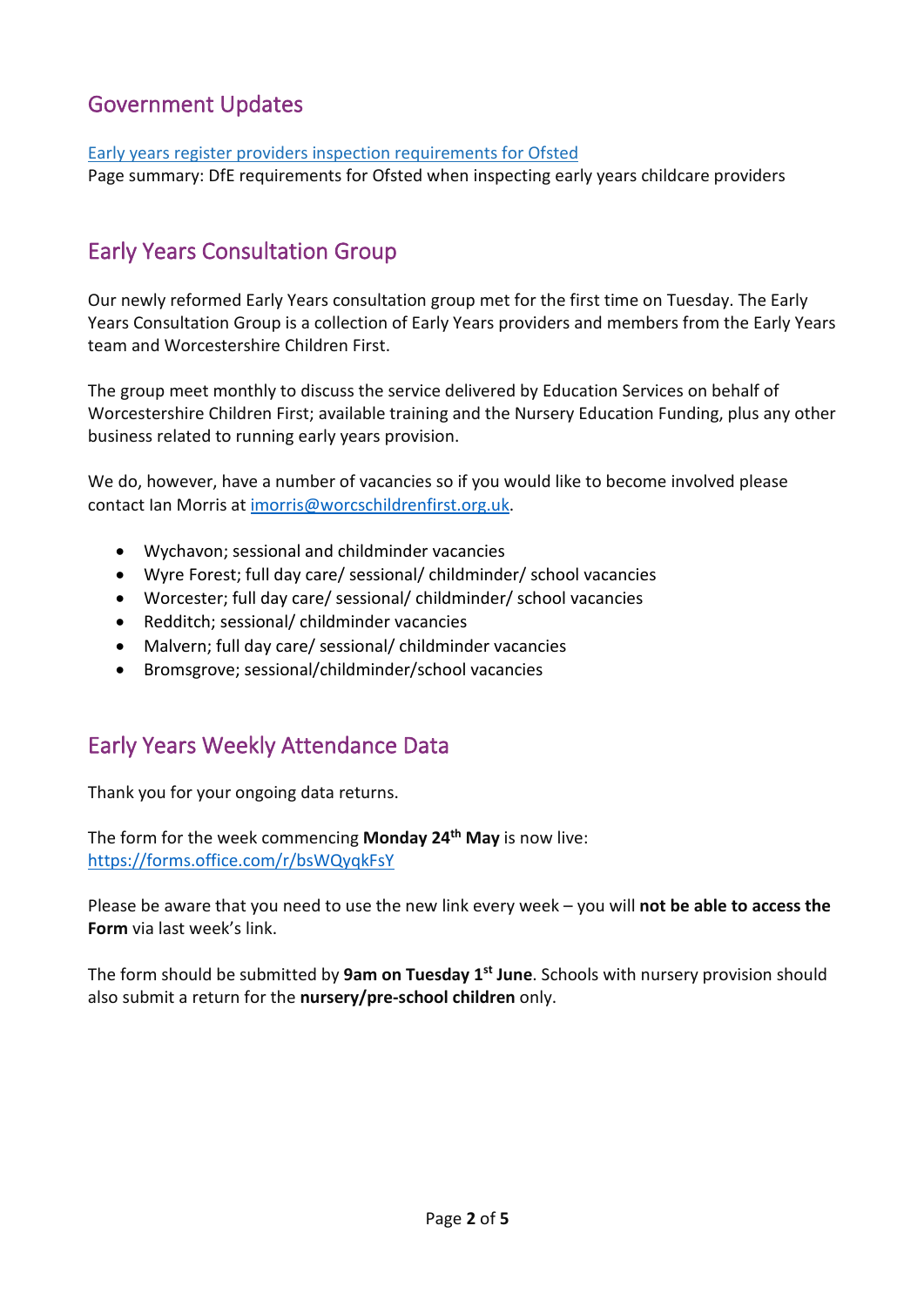### Government Updates

#### [Early years register providers inspection requirements for Ofsted](https://eur02.safelinks.protection.outlook.com/?url=https%3A%2F%2Fwww.gov.uk%2Fgovernment%2Fpublications%2Fearly-years-register-providers-inspection-requirements-for-ofsted%3Futm_medium%3Demail%26utm_campaign%3Dgovuk-notifications%26utm_source%3Ded52154e-d843-4297-a1d2-0e264791428c%26utm_content%3Dimmediately&data=04%7C01%7CIMorris%40worcschildrenfirst.org.uk%7C51675ce4980d4c59853308d92055574c%7Cacf41887bd3745d39e6547cde48dc85a%7C0%7C0%7C637576373345335086%7CUnknown%7CTWFpbGZsb3d8eyJWIjoiMC4wLjAwMDAiLCJQIjoiV2luMzIiLCJBTiI6Ik1haWwiLCJXVCI6Mn0%3D%7C1000&sdata=S4MqoqQKqHkz6caWjGnQCuX3xvWE%2BtxYMihBXLu2%2FCc%3D&reserved=0)

Page summary: DfE requirements for Ofsted when inspecting early years childcare providers

### <span id="page-1-0"></span>Early Years Consultation Group

Our newly reformed Early Years consultation group met for the first time on Tuesday. The Early Years Consultation Group is a collection of Early Years providers and members from the Early Years team and Worcestershire Children First.

The group meet monthly to discuss the service delivered by Education Services on behalf of Worcestershire Children First; available training and the Nursery Education Funding, plus any other business related to running early years provision.

We do, however, have a number of vacancies so if you would like to become involved please contact Ian Morris at [imorris@worcschildrenfirst.org.uk.](mailto:imorris@worcschildrenfirst.org.uk)

- Wychavon; sessional and childminder vacancies
- Wyre Forest; full day care/ sessional/ childminder/ school vacancies
- Worcester; full day care/ sessional/ childminder/ school vacancies
- Redditch; sessional/ childminder vacancies
- Malvern; full day care/ sessional/ childminder vacancies
- Bromsgrove; sessional/childminder/school vacancies

### <span id="page-1-1"></span>Early Years Weekly Attendance Data

Thank you for your ongoing data returns.

The form for the week commencing **Monday 24th May** is now live: <https://forms.office.com/r/bsWQyqkFsY>

Please be aware that you need to use the new link every week – you will **not be able to access the Form** via last week's link.

The form should be submitted by **9am on Tuesday 1st June**. Schools with nursery provision should also submit a return for the **nursery/pre-school children** only.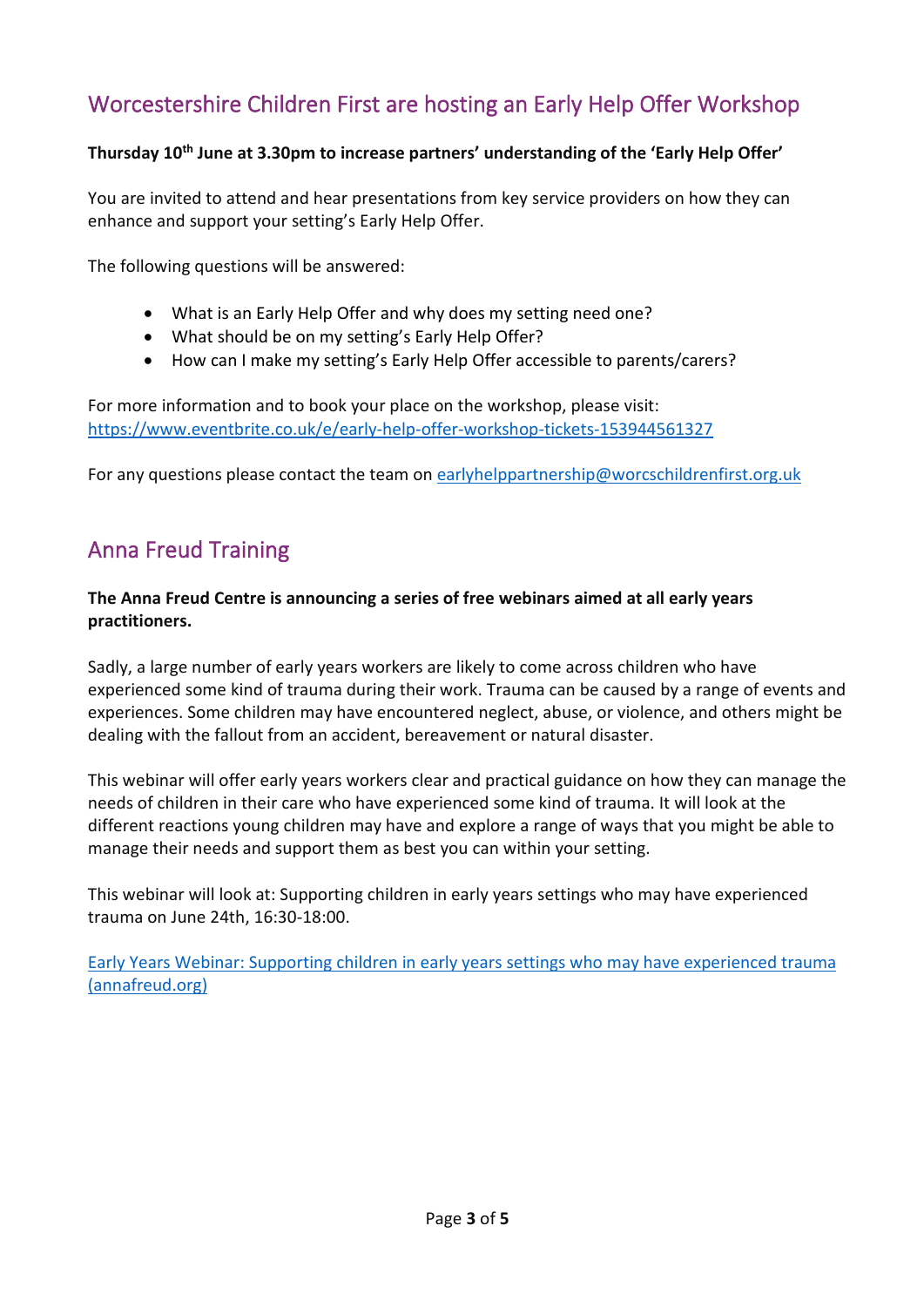# <span id="page-2-0"></span>Worcestershire Children First are hosting an Early Help Offer Workshop

#### **Thursday 10th June at 3.30pm to increase partners' understanding of the 'Early Help Offer'**

You are invited to attend and hear presentations from key service providers on how they can enhance and support your setting's Early Help Offer.

The following questions will be answered:

- What is an Early Help Offer and why does my setting need one?
- What should be on my setting's Early Help Offer?
- How can I make my setting's Early Help Offer accessible to parents/carers?

For more information and to book your place on the workshop, please visit: <https://www.eventbrite.co.uk/e/early-help-offer-workshop-tickets-153944561327>

For any questions please contact the team on [earlyhelppartnership@worcschildrenfirst.org.uk](mailto:earlyhelppartnership@worcschildrenfirst.org.uk)

### <span id="page-2-1"></span>Anna Freud Training

#### **The Anna Freud Centre is announcing a series of free webinars aimed at all early years practitioners.**

Sadly, a large number of early years workers are likely to come across children who have experienced some kind of trauma during their work. Trauma can be caused by a range of events and experiences. Some children may have encountered neglect, abuse, or violence, and others might be dealing with the fallout from an accident, bereavement or natural disaster.

This webinar will offer early years workers clear and practical guidance on how they can manage the needs of children in their care who have experienced some kind of trauma. It will look at the different reactions young children may have and explore a range of ways that you might be able to manage their needs and support them as best you can within your setting.

This webinar will look at: Supporting children in early years settings who may have experienced trauma on June 24th, 16:30-18:00.

[Early Years Webinar: Supporting children in early years settings who may have experienced trauma](https://www.annafreud.org/training/training-and-conferences-overview/online-conferences-webinars-and-events/early-years-webinar-supporting-children-in-early-years-settings-who-may-have-experienced-trauma/?mc_cid=c4bccdc5eb&mc_eid=f367de1f0f)  [\(annafreud.org\)](https://www.annafreud.org/training/training-and-conferences-overview/online-conferences-webinars-and-events/early-years-webinar-supporting-children-in-early-years-settings-who-may-have-experienced-trauma/?mc_cid=c4bccdc5eb&mc_eid=f367de1f0f)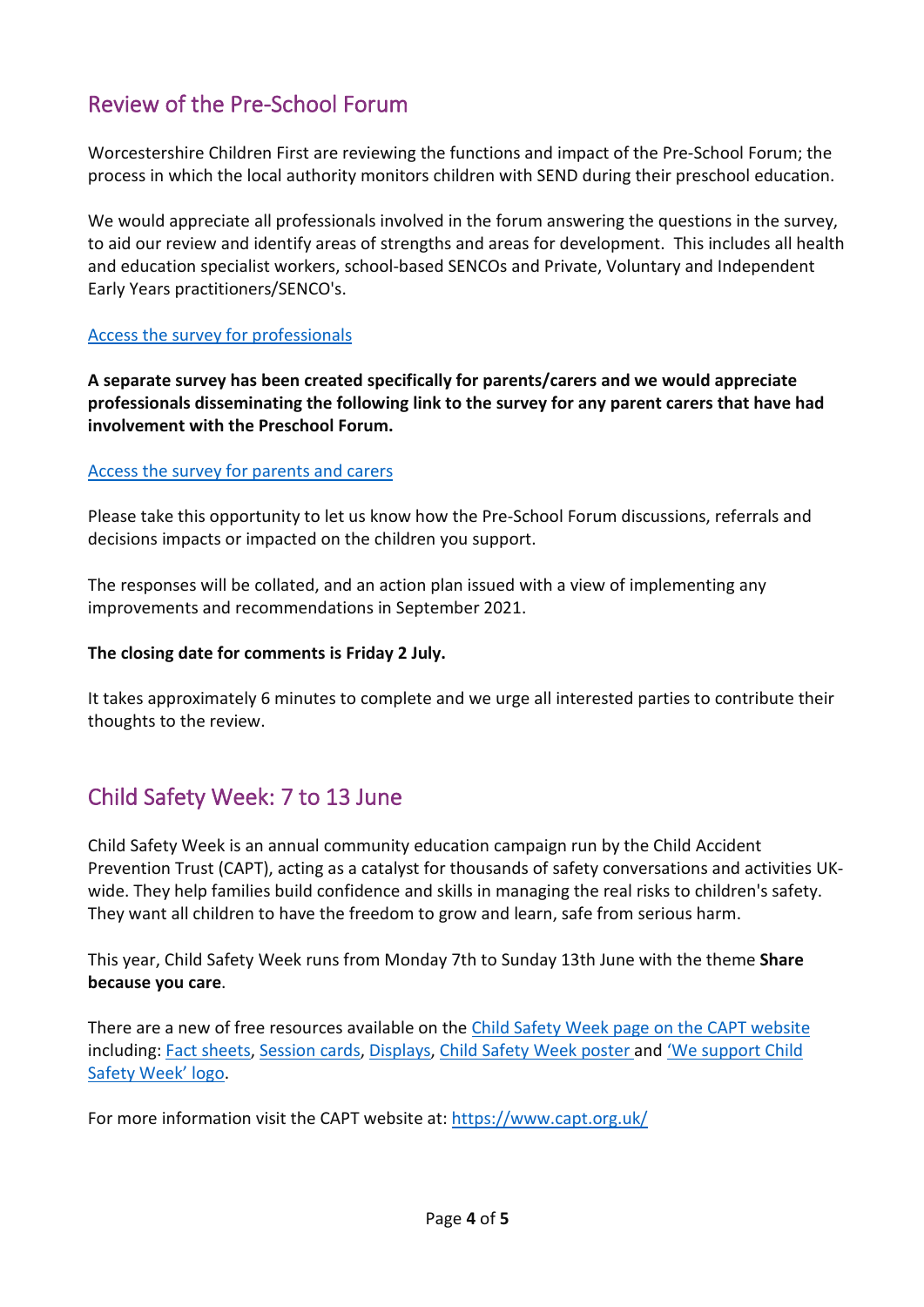# <span id="page-3-0"></span>Review of the Pre-School Forum

Worcestershire Children First are reviewing the functions and impact of the Pre-School Forum; the process in which the local authority monitors children with SEND during their preschool education.

We would appreciate all professionals involved in the forum answering the questions in the survey, to aid our review and identify areas of strengths and areas for development. This includes all health and education specialist workers, school-based SENCOs and Private, Voluntary and Independent Early Years practitioners/SENCO's.

#### [Access the survey for professionals](https://forms.office.com/Pages/ResponsePage.aspx?id=hxj0rDe900WeZUfN5I3IWsURlASJL01Fh_oaGUQpH4tUQVBTMFRFRFROS1ZSRkNGNFNSWUczUlo2Wi4u)

**A separate survey has been created specifically for parents/carers and we would appreciate professionals disseminating the following link to the survey for any parent carers that have had involvement with the Preschool Forum.**

#### [Access the survey for parents and carers](https://forms.office.com/Pages/ResponsePage.aspx?id=hxj0rDe900WeZUfN5I3IWsURlASJL01Fh_oaGUQpH4tUMjBCS05TVUM0RVdRT0xaQzJIWU1KTlk2VS4u)

Please take this opportunity to let us know how the Pre-School Forum discussions, referrals and decisions impacts or impacted on the children you support.

The responses will be collated, and an action plan issued with a view of implementing any improvements and recommendations in September 2021.

#### **The closing date for comments is Friday 2 July.**

It takes approximately 6 minutes to complete and we urge all interested parties to contribute their thoughts to the review.

### <span id="page-3-1"></span>Child Safety Week: 7 to 13 June

Child Safety Week is an annual community education campaign run by the Child Accident Prevention Trust (CAPT), acting as a catalyst for thousands of safety conversations and activities UKwide. They help families build confidence and skills in managing the real risks to children's safety. They want all children to have the freedom to grow and learn, safe from serious harm.

This year, Child Safety Week runs from Monday 7th to Sunday 13th June with the theme **Share because you care**.

There are a new of free resources available on the [Child Safety Week page on the CAPT website](https://www.capt.org.uk/Pages/Category/child-safety-week) including: [Fact sheets,](https://eur02.safelinks.protection.outlook.com/?url=https%3A%2F%2Fchildsafetyweek.us7.list-manage.com%2Ftrack%2Fclick%3Fu%3Df1346f3ff5a62d47baae512fa%26id%3Da97b787c23%26e%3D7306d5b541&data=04%7C01%7CSRoberts2%40worcestershire.gov.uk%7C154a1397c5bf4ff2ea0e08d91b6dc264%7Cacf41887bd3745d39e6547cde48dc85a%7C0%7C0%7C637570980702866609%7CUnknown%7CTWFpbGZsb3d8eyJWIjoiMC4wLjAwMDAiLCJQIjoiV2luMzIiLCJBTiI6Ik1haWwiLCJXVCI6Mn0%3D%7C1000&sdata=i%2FZ3oadXoqoM%2BifjGMKvnDD%2BG7%2B4CXZfd%2FrkUG9vBU0%3D&reserved=0) [Session cards,](https://eur02.safelinks.protection.outlook.com/?url=https%3A%2F%2Fchildsafetyweek.us7.list-manage.com%2Ftrack%2Fclick%3Fu%3Df1346f3ff5a62d47baae512fa%26id%3Ddedf9473f8%26e%3D7306d5b541&data=04%7C01%7CSRoberts2%40worcestershire.gov.uk%7C154a1397c5bf4ff2ea0e08d91b6dc264%7Cacf41887bd3745d39e6547cde48dc85a%7C0%7C0%7C637570980702866609%7CUnknown%7CTWFpbGZsb3d8eyJWIjoiMC4wLjAwMDAiLCJQIjoiV2luMzIiLCJBTiI6Ik1haWwiLCJXVCI6Mn0%3D%7C1000&sdata=YpJaiPvZEpXD50sf69%2BXJ7yQyAw1Z0F2o692KHRmHMU%3D&reserved=0) [Displays,](https://eur02.safelinks.protection.outlook.com/?url=https%3A%2F%2Fchildsafetyweek.us7.list-manage.com%2Ftrack%2Fclick%3Fu%3Df1346f3ff5a62d47baae512fa%26id%3Ddbdca3a529%26e%3D7306d5b541&data=04%7C01%7CSRoberts2%40worcestershire.gov.uk%7C154a1397c5bf4ff2ea0e08d91b6dc264%7Cacf41887bd3745d39e6547cde48dc85a%7C0%7C0%7C637570980702876558%7CUnknown%7CTWFpbGZsb3d8eyJWIjoiMC4wLjAwMDAiLCJQIjoiV2luMzIiLCJBTiI6Ik1haWwiLCJXVCI6Mn0%3D%7C1000&sdata=wG50xEamnaFlv3Xh8oPbNzpIVnmCFt3dwICBNHgX%2BiA%3D&reserved=0) [Child Safety Week poster a](https://eur02.safelinks.protection.outlook.com/?url=https%3A%2F%2Fchildsafetyweek.us7.list-manage.com%2Ftrack%2Fclick%3Fu%3Df1346f3ff5a62d47baae512fa%26id%3D441c0b8073%26e%3D7306d5b541&data=04%7C01%7CSRoberts2%40worcestershire.gov.uk%7C154a1397c5bf4ff2ea0e08d91b6dc264%7Cacf41887bd3745d39e6547cde48dc85a%7C0%7C0%7C637570980702876558%7CUnknown%7CTWFpbGZsb3d8eyJWIjoiMC4wLjAwMDAiLCJQIjoiV2luMzIiLCJBTiI6Ik1haWwiLCJXVCI6Mn0%3D%7C1000&sdata=qJi0lqVbfOqy7WtxohJIOenhdTqExgiUJPbzmbdtv9I%3D&reserved=0)nd ['We support Child](https://eur02.safelinks.protection.outlook.com/?url=https%3A%2F%2Fchildsafetyweek.us7.list-manage.com%2Ftrack%2Fclick%3Fu%3Df1346f3ff5a62d47baae512fa%26id%3D5f97fdd45e%26e%3D7306d5b541&data=04%7C01%7CSRoberts2%40worcestershire.gov.uk%7C154a1397c5bf4ff2ea0e08d91b6dc264%7Cacf41887bd3745d39e6547cde48dc85a%7C0%7C0%7C637570980702876558%7CUnknown%7CTWFpbGZsb3d8eyJWIjoiMC4wLjAwMDAiLCJQIjoiV2luMzIiLCJBTiI6Ik1haWwiLCJXVCI6Mn0%3D%7C1000&sdata=h3Y9wdfN8VsyjjrGWFTWGFNna7iJJD48lPVgKLPjvwk%3D&reserved=0)  [Safety](https://eur02.safelinks.protection.outlook.com/?url=https%3A%2F%2Fchildsafetyweek.us7.list-manage.com%2Ftrack%2Fclick%3Fu%3Df1346f3ff5a62d47baae512fa%26id%3D5f97fdd45e%26e%3D7306d5b541&data=04%7C01%7CSRoberts2%40worcestershire.gov.uk%7C154a1397c5bf4ff2ea0e08d91b6dc264%7Cacf41887bd3745d39e6547cde48dc85a%7C0%7C0%7C637570980702876558%7CUnknown%7CTWFpbGZsb3d8eyJWIjoiMC4wLjAwMDAiLCJQIjoiV2luMzIiLCJBTiI6Ik1haWwiLCJXVCI6Mn0%3D%7C1000&sdata=h3Y9wdfN8VsyjjrGWFTWGFNna7iJJD48lPVgKLPjvwk%3D&reserved=0) [Week' logo.](https://eur02.safelinks.protection.outlook.com/?url=https%3A%2F%2Fchildsafetyweek.us7.list-manage.com%2Ftrack%2Fclick%3Fu%3Df1346f3ff5a62d47baae512fa%26id%3D5f97fdd45e%26e%3D7306d5b541&data=04%7C01%7CSRoberts2%40worcestershire.gov.uk%7C154a1397c5bf4ff2ea0e08d91b6dc264%7Cacf41887bd3745d39e6547cde48dc85a%7C0%7C0%7C637570980702876558%7CUnknown%7CTWFpbGZsb3d8eyJWIjoiMC4wLjAwMDAiLCJQIjoiV2luMzIiLCJBTiI6Ik1haWwiLCJXVCI6Mn0%3D%7C1000&sdata=h3Y9wdfN8VsyjjrGWFTWGFNna7iJJD48lPVgKLPjvwk%3D&reserved=0)

For more information visit the CAPT website at:<https://www.capt.org.uk/>